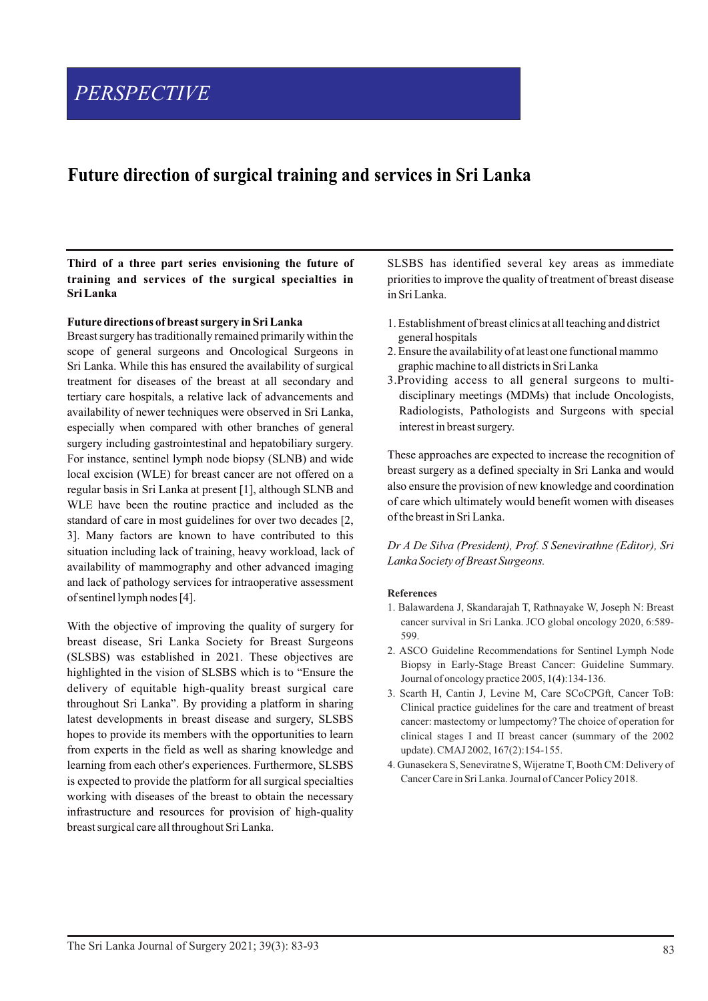# *PERSPECTIVE*

# **Future direction of surgical training and services in Sri Lanka**

**Third of a three part series envisioning the future of training and services of the surgical specialties in Sri Lanka**

#### **Future directions of breast surgery in Sri Lanka**

Breast surgery has traditionally remained primarily within the scope of general surgeons and Oncological Surgeons in Sri Lanka. While this has ensured the availability of surgical treatment for diseases of the breast at all secondary and tertiary care hospitals, a relative lack of advancements and availability of newer techniques were observed in Sri Lanka, especially when compared with other branches of general surgery including gastrointestinal and hepatobiliary surgery. For instance, sentinel lymph node biopsy (SLNB) and wide local excision (WLE) for breast cancer are not offered on a regular basis in Sri Lanka at present [1], although SLNB and WLE have been the routine practice and included as the standard of care in most guidelines for over two decades [2, 3]. Many factors are known to have contributed to this situation including lack of training, heavy workload, lack of availability of mammography and other advanced imaging and lack of pathology services for intraoperative assessment of sentinel lymph nodes [4].

With the objective of improving the quality of surgery for breast disease, Sri Lanka Society for Breast Surgeons (SLSBS) was established in 2021. These objectives are highlighted in the vision of SLSBS which is to "Ensure the delivery of equitable high-quality breast surgical care throughout Sri Lanka". By providing a platform in sharing latest developments in breast disease and surgery, SLSBS hopes to provide its members with the opportunities to learn from experts in the field as well as sharing knowledge and learning from each other's experiences. Furthermore, SLSBS is expected to provide the platform for all surgical specialties working with diseases of the breast to obtain the necessary infrastructure and resources for provision of high-quality breast surgical care all throughout Sri Lanka.

SLSBS has identified several key areas as immediate priorities to improve the quality of treatment of breast disease in Sri Lanka.

- 1. Establishment of breast clinics at all teaching and district general hospitals
- 2. Ensure the availability of at least one functional mammo graphic machine to all districts in Sri Lanka
- 3.Providing access to all general surgeons to multidisciplinary meetings (MDMs) that include Oncologists, Radiologists, Pathologists and Surgeons with special interest in breast surgery.

These approaches are expected to increase the recognition of breast surgery as a defined specialty in Sri Lanka and would also ensure the provision of new knowledge and coordination of care which ultimately would benefit women with diseases of the breast in Sri Lanka.

*Dr A De Silva (President), Prof. S Senevirathne (Editor), Sri Lanka Society of Breast Surgeons.*

#### **References**

- 1. Balawardena J, Skandarajah T, Rathnayake W, Joseph N: Breast cancer survival in Sri Lanka. JCO global oncology 2020, 6:589- 599.
- 2. ASCO Guideline Recommendations for Sentinel Lymph Node Biopsy in Early-Stage Breast Cancer: Guideline Summary. Journal of oncology practice 2005, 1(4):134-136.
- 3. Scarth H, Cantin J, Levine M, Care SCoCPGft, Cancer ToB: Clinical practice guidelines for the care and treatment of breast cancer: mastectomy or lumpectomy? The choice of operation for clinical stages I and II breast cancer (summary of the 2002 update). CMAJ 2002, 167(2):154-155.
- 4. Gunasekera S, Seneviratne S, Wijeratne T, Booth CM: Delivery of Cancer Care in Sri Lanka. Journal of Cancer Policy 2018.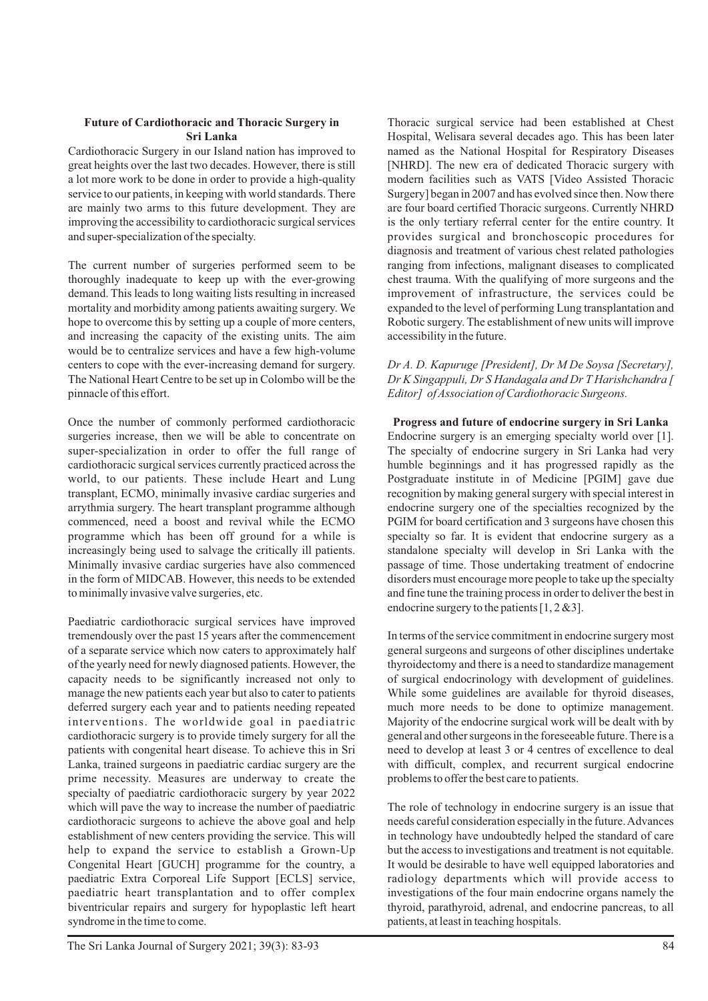# **Future of Cardiothoracic and Thoracic Surgery in Sri Lanka**

Cardiothoracic Surgery in our Island nation has improved to great heights over the last two decades. However, there is still a lot more work to be done in order to provide a high-quality service to our patients, in keeping with world standards. There are mainly two arms to this future development. They are improving the accessibility to cardiothoracic surgical services and super-specialization of the specialty.

The current number of surgeries performed seem to be thoroughly inadequate to keep up with the ever-growing demand. This leads to long waiting lists resulting in increased mortality and morbidity among patients awaiting surgery. We hope to overcome this by setting up a couple of more centers, and increasing the capacity of the existing units. The aim would be to centralize services and have a few high-volume centers to cope with the ever-increasing demand for surgery. The National Heart Centre to be set up in Colombo will be the pinnacle of this effort.

Once the number of commonly performed cardiothoracic surgeries increase, then we will be able to concentrate on super-specialization in order to offer the full range of cardiothoracic surgical services currently practiced across the world, to our patients. These include Heart and Lung transplant, ECMO, minimally invasive cardiac surgeries and arrythmia surgery. The heart transplant programme although commenced, need a boost and revival while the ECMO programme which has been off ground for a while is increasingly being used to salvage the critically ill patients. Minimally invasive cardiac surgeries have also commenced in the form of MIDCAB. However, this needs to be extended to minimally invasive valve surgeries, etc.

Paediatric cardiothoracic surgical services have improved tremendously over the past 15 years after the commencement of a separate service which now caters to approximately half of the yearly need for newly diagnosed patients. However, the capacity needs to be significantly increased not only to manage the new patients each year but also to cater to patients deferred surgery each year and to patients needing repeated interventions. The worldwide goal in paediatric cardiothoracic surgery is to provide timely surgery for all the patients with congenital heart disease. To achieve this in Sri Lanka, trained surgeons in paediatric cardiac surgery are the prime necessity. Measures are underway to create the specialty of paediatric cardiothoracic surgery by year 2022 which will pave the way to increase the number of paediatric cardiothoracic surgeons to achieve the above goal and help establishment of new centers providing the service. This will help to expand the service to establish a Grown-Up Congenital Heart [GUCH] programme for the country, a paediatric Extra Corporeal Life Support [ECLS] service, paediatric heart transplantation and to offer complex biventricular repairs and surgery for hypoplastic left heart syndrome in the time to come.

Thoracic surgical service had been established at Chest Hospital, Welisara several decades ago. This has been later named as the National Hospital for Respiratory Diseases [NHRD]. The new era of dedicated Thoracic surgery with modern facilities such as VATS [Video Assisted Thoracic Surgery] began in 2007 and has evolved since then. Now there are four board certified Thoracic surgeons. Currently NHRD is the only tertiary referral center for the entire country. It provides surgical and bronchoscopic procedures for diagnosis and treatment of various chest related pathologies ranging from infections, malignant diseases to complicated chest trauma. With the qualifying of more surgeons and the improvement of infrastructure, the services could be expanded to the level of performing Lung transplantation and Robotic surgery. The establishment of new units will improve accessibility in the future.

### *Dr A. D. Kapuruge [President], Dr M De Soysa [Secretary], Dr K Singappuli, Dr S Handagala and Dr T Harishchandra [ Editor] of Association of Cardiothoracic Surgeons.*

**Progress and future of endocrine surgery in Sri Lanka** Endocrine surgery is an emerging specialty world over [1]. The specialty of endocrine surgery in Sri Lanka had very humble beginnings and it has progressed rapidly as the Postgraduate institute in of Medicine [PGIM] gave due recognition by making general surgery with special interest in endocrine surgery one of the specialties recognized by the PGIM for board certification and 3 surgeons have chosen this specialty so far. It is evident that endocrine surgery as a standalone specialty will develop in Sri Lanka with the passage of time. Those undertaking treatment of endocrine disorders must encourage more people to take up the specialty and fine tune the training process in order to deliver the best in endocrine surgery to the patients [1, 2 &3].

In terms of the service commitment in endocrine surgery most general surgeons and surgeons of other disciplines undertake thyroidectomy and there is a need to standardize management of surgical endocrinology with development of guidelines. While some guidelines are available for thyroid diseases, much more needs to be done to optimize management. Majority of the endocrine surgical work will be dealt with by general and other surgeons in the foreseeable future. There is a need to develop at least 3 or 4 centres of excellence to deal with difficult, complex, and recurrent surgical endocrine problems to offer the best care to patients.

The role of technology in endocrine surgery is an issue that needs careful consideration especially in the future. Advances in technology have undoubtedly helped the standard of care but the access to investigations and treatment is not equitable. It would be desirable to have well equipped laboratories and radiology departments which will provide access to investigations of the four main endocrine organs namely the thyroid, parathyroid, adrenal, and endocrine pancreas, to all patients, at least in teaching hospitals.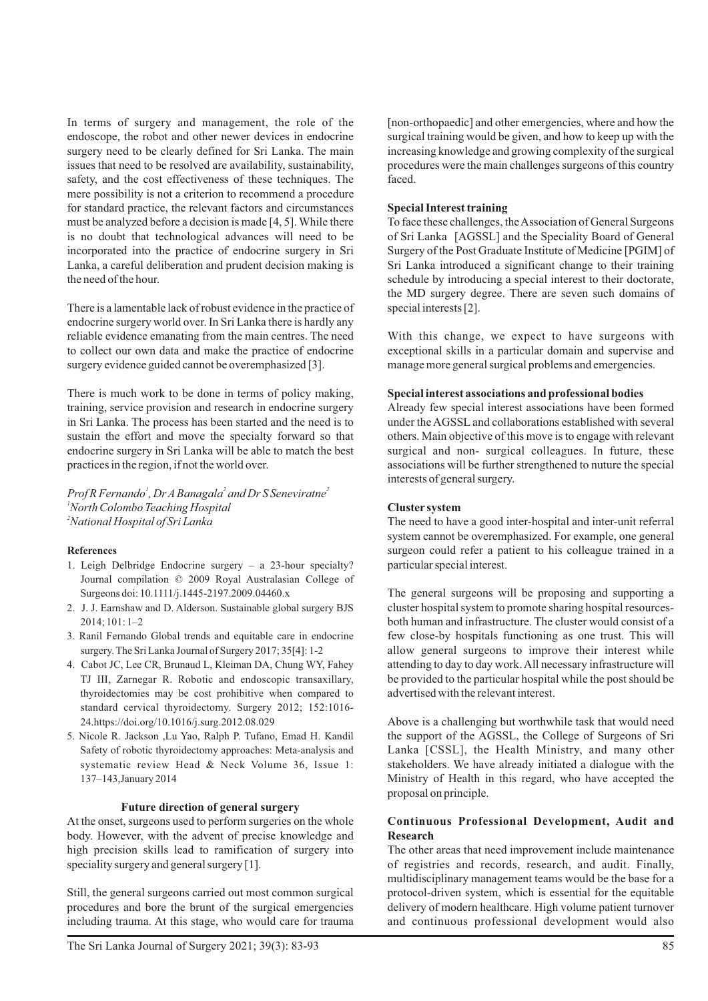In terms of surgery and management, the role of the endoscope, the robot and other newer devices in endocrine surgery need to be clearly defined for Sri Lanka. The main issues that need to be resolved are availability, sustainability, safety, and the cost effectiveness of these techniques. The mere possibility is not a criterion to recommend a procedure for standard practice, the relevant factors and circumstances must be analyzed before a decision is made [4, 5]. While there is no doubt that technological advances will need to be incorporated into the practice of endocrine surgery in Sri Lanka, a careful deliberation and prudent decision making is the need of the hour.

There is a lamentable lack of robust evidence in the practice of endocrine surgery world over. In Sri Lanka there is hardly any reliable evidence emanating from the main centres. The need to collect our own data and make the practice of endocrine surgery evidence guided cannot be overemphasized [3].

There is much work to be done in terms of policy making, training, service provision and research in endocrine surgery in Sri Lanka. The process has been started and the need is to sustain the effort and move the specialty forward so that endocrine surgery in Sri Lanka will be able to match the best practices in the region, if not the world over.

*1 2 2 Prof R Fernando , Dr ABanagala and Dr S Seneviratne <sup>1</sup>North Colombo Teaching Hospital <sup>2</sup>National Hospital of Sri Lanka*

#### **References**

- 1. Leigh Delbridge Endocrine surgery a 23-hour specialty? Journal compilation © 2009 Royal Australasian College of Surgeons doi: 10.1111/j.1445-2197.2009.04460.x
- 2. J. J. Earnshaw and D. Alderson. Sustainable global surgery BJS  $2014:101:1-2$
- 3. Ranil Fernando Global trends and equitable care in endocrine surgery. The Sri Lanka Journal of Surgery 2017; 35[4]: 1-2
- 4. Cabot JC, Lee CR, Brunaud L, Kleiman DA, Chung WY, Fahey TJ III, Zarnegar R. Robotic and endoscopic transaxillary, thyroidectomies may be cost prohibitive when compared to standard cervical thyroidectomy. Surgery 2012; 152:1016- 24.https://doi.org/10.1016/j.surg.2012.08.029
- 5. Nicole R. Jackson ,Lu Yao, Ralph P. Tufano, Emad H. Kandil Safety of robotic thyroidectomy approaches: Meta-analysis and systematic review Head & Neck Volume 36, Issue 1: 137–143,January 2014

#### **Future direction of general surgery**

At the onset, surgeons used to perform surgeries on the whole body. However, with the advent of precise knowledge and high precision skills lead to ramification of surgery into speciality surgery and general surgery [1].

Still, the general surgeons carried out most common surgical procedures and bore the brunt of the surgical emergencies including trauma. At this stage, who would care for trauma

# **Special Interest training**

To face these challenges, the Association of General Surgeons of Sri Lanka [AGSSL] and the Speciality Board of General Surgery of the Post Graduate Institute of Medicine [PGIM] of Sri Lanka introduced a significant change to their training schedule by introducing a special interest to their doctorate, the MD surgery degree. There are seven such domains of special interests [2].

With this change, we expect to have surgeons with exceptional skills in a particular domain and supervise and manage more general surgical problems and emergencies.

# **Special interest associations and professional bodies**

Already few special interest associations have been formed under the AGSSL and collaborations established with several others. Main objective of this move is to engage with relevant surgical and non- surgical colleagues. In future, these associations will be further strengthened to nuture the special interests of general surgery.

# **Cluster system**

The need to have a good inter-hospital and inter-unit referral system cannot be overemphasized. For example, one general surgeon could refer a patient to his colleague trained in a particular special interest.

The general surgeons will be proposing and supporting a cluster hospital system to promote sharing hospital resourcesboth human and infrastructure. The cluster would consist of a few close-by hospitals functioning as one trust. This will allow general surgeons to improve their interest while attending to day to day work. All necessary infrastructure will be provided to the particular hospital while the post should be advertised with the relevant interest.

Above is a challenging but worthwhile task that would need the support of the AGSSL, the College of Surgeons of Sri Lanka [CSSL], the Health Ministry, and many other stakeholders. We have already initiated a dialogue with the Ministry of Health in this regard, who have accepted the proposal on principle.

# **Continuous Professional Development, Audit and Research**

The other areas that need improvement include maintenance of registries and records, research, and audit. Finally, multidisciplinary management teams would be the base for a protocol-driven system, which is essential for the equitable delivery of modern healthcare. High volume patient turnover and continuous professional development would also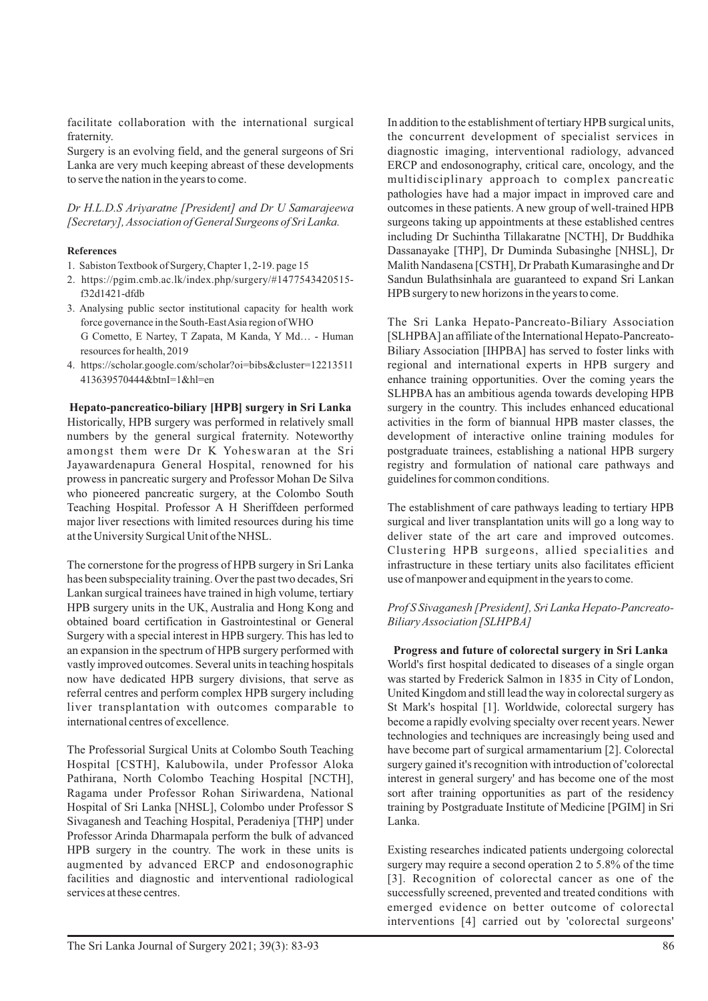facilitate collaboration with the international surgical fraternity.

Surgery is an evolving field, and the general surgeons of Sri Lanka are very much keeping abreast of these developments to serve the nation in the years to come.

*Dr H.L.D.S Ariyaratne [President] and Dr U Samarajeewa [Secretary], Association of General Surgeons of Sri Lanka.*

#### **References**

- 1. Sabiston Textbook of Surgery, Chapter 1, 2-19. page 15
- 2. https://pgim.cmb.ac.lk/index.php/surgery/#1477543420515 f32d1421-dfdb
- 3. Analysing public sector institutional capacity for health work force governance in the South-East Asia region of WHO G Cometto, E Nartey, T Zapata, M Kanda, Y Md… - Human resources for health, 2019
- 4. https://scholar.google.com/scholar?oi=bibs&cluster=12213511 413639570444&btnI=1&hl=en

**Hepato-pancreatico-biliary [HPB] surgery in Sri Lanka** Historically, HPB surgery was performed in relatively small numbers by the general surgical fraternity. Noteworthy amongst them were Dr K Yoheswaran at the Sri Jayawardenapura General Hospital, renowned for his prowess in pancreatic surgery and Professor Mohan De Silva who pioneered pancreatic surgery, at the Colombo South Teaching Hospital. Professor A H Sheriffdeen performed major liver resections with limited resources during his time at the University Surgical Unit of the NHSL.

The cornerstone for the progress of HPB surgery in Sri Lanka has been subspeciality training. Over the past two decades, Sri Lankan surgical trainees have trained in high volume, tertiary HPB surgery units in the UK, Australia and Hong Kong and obtained board certification in Gastrointestinal or General Surgery with a special interest in HPB surgery. This has led to an expansion in the spectrum of HPB surgery performed with vastly improved outcomes. Several units in teaching hospitals now have dedicated HPB surgery divisions, that serve as referral centres and perform complex HPB surgery including liver transplantation with outcomes comparable to international centres of excellence.

The Professorial Surgical Units at Colombo South Teaching Hospital [CSTH], Kalubowila, under Professor Aloka Pathirana, North Colombo Teaching Hospital [NCTH], Ragama under Professor Rohan Siriwardena, National Hospital of Sri Lanka [NHSL], Colombo under Professor S Sivaganesh and Teaching Hospital, Peradeniya [THP] under Professor Arinda Dharmapala perform the bulk of advanced HPB surgery in the country. The work in these units is augmented by advanced ERCP and endosonographic facilities and diagnostic and interventional radiological services at these centres.

In addition to the establishment of tertiary HPB surgical units, the concurrent development of specialist services in diagnostic imaging, interventional radiology, advanced ERCP and endosonography, critical care, oncology, and the multidisciplinary approach to complex pancreatic pathologies have had a major impact in improved care and outcomes in these patients. A new group of well-trained HPB surgeons taking up appointments at these established centres including Dr Suchintha Tillakaratne [NCTH], Dr Buddhika Dassanayake [THP], Dr Duminda Subasinghe [NHSL], Dr Malith Nandasena [CSTH], Dr Prabath Kumarasinghe and Dr Sandun Bulathsinhala are guaranteed to expand Sri Lankan HPB surgery to new horizons in the years to come.

The Sri Lanka Hepato-Pancreato-Biliary Association [SLHPBA] an affiliate of the International Hepato-Pancreato-Biliary Association [IHPBA] has served to foster links with regional and international experts in HPB surgery and enhance training opportunities. Over the coming years the SLHPBA has an ambitious agenda towards developing HPB surgery in the country. This includes enhanced educational activities in the form of biannual HPB master classes, the development of interactive online training modules for postgraduate trainees, establishing a national HPB surgery registry and formulation of national care pathways and guidelines for common conditions.

The establishment of care pathways leading to tertiary HPB surgical and liver transplantation units will go a long way to deliver state of the art care and improved outcomes. Clustering HPB surgeons, allied specialities and infrastructure in these tertiary units also facilitates efficient use of manpower and equipment in the years to come.

# *Prof S Sivaganesh [President], Sri Lanka Hepato-Pancreato-Biliary Association [SLHPBA]*

**Progress and future of colorectal surgery in Sri Lanka** World's first hospital dedicated to diseases of a single organ was started by Frederick Salmon in 1835 in City of London, United Kingdom and still lead the way in colorectal surgery as St Mark's hospital [1]. Worldwide, colorectal surgery has become a rapidly evolving specialty over recent years. Newer technologies and techniques are increasingly being used and have become part of surgical armamentarium [2]. Colorectal surgery gained it's recognition with introduction of 'colorectal interest in general surgery' and has become one of the most sort after training opportunities as part of the residency training by Postgraduate Institute of Medicine [PGIM] in Sri Lanka.

Existing researches indicated patients undergoing colorectal surgery may require a second operation 2 to 5.8% of the time [3]. Recognition of colorectal cancer as one of the successfully screened, prevented and treated conditions with emerged evidence on better outcome of colorectal interventions [4] carried out by 'colorectal surgeons'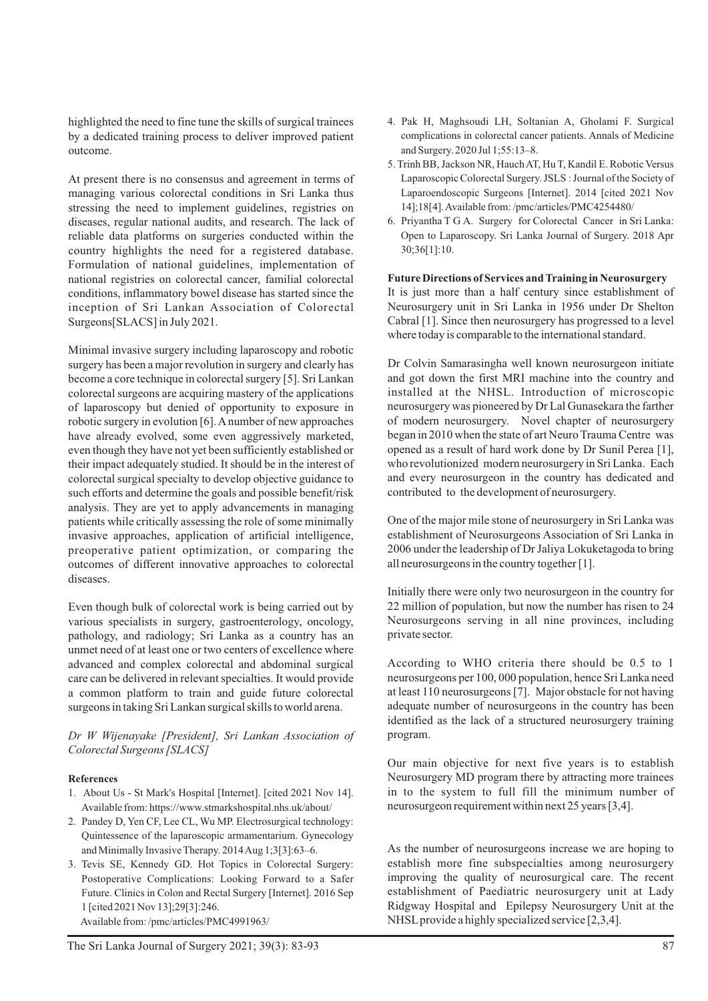highlighted the need to fine tune the skills of surgical trainees by a dedicated training process to deliver improved patient outcome.

At present there is no consensus and agreement in terms of managing various colorectal conditions in Sri Lanka thus stressing the need to implement guidelines, registries on diseases, regular national audits, and research. The lack of reliable data platforms on surgeries conducted within the country highlights the need for a registered database. Formulation of national guidelines, implementation of national registries on colorectal cancer, familial colorectal conditions, inflammatory bowel disease has started since the inception of Sri Lankan Association of Colorectal Surgeons[SLACS] in July 2021.

Minimal invasive surgery including laparoscopy and robotic surgery has been a major revolution in surgery and clearly has become a core technique in colorectal surgery [5]. Sri Lankan colorectal surgeons are acquiring mastery of the applications of laparoscopy but denied of opportunity to exposure in robotic surgery in evolution [6]. Anumber of new approaches have already evolved, some even aggressively marketed, even though they have not yet been sufficiently established or their impact adequately studied. It should be in the interest of colorectal surgical specialty to develop objective guidance to such efforts and determine the goals and possible benefit/risk analysis. They are yet to apply advancements in managing patients while critically assessing the role of some minimally invasive approaches, application of artificial intelligence, preoperative patient optimization, or comparing the outcomes of different innovative approaches to colorectal diseases.

Even though bulk of colorectal work is being carried out by various specialists in surgery, gastroenterology, oncology, pathology, and radiology; Sri Lanka as a country has an unmet need of at least one or two centers of excellence where advanced and complex colorectal and abdominal surgical care can be delivered in relevant specialties. It would provide a common platform to train and guide future colorectal surgeons in taking Sri Lankan surgical skills to world arena.

*Dr W Wijenayake [President], Sri Lankan Association of Colorectal Surgeons [SLACS]*

#### **References**

- 1. About Us St Mark's Hospital [Internet]. [cited 2021 Nov 14]. Available from: https://www.stmarkshospital.nhs.uk/about/
- 2. Pandey D, Yen CF, Lee CL, Wu MP. Electrosurgical technology: Quintessence of the laparoscopic armamentarium. Gynecology and Minimally Invasive Therapy. 2014 Aug 1;3[3]:63–6.
- 3. Tevis SE, Kennedy GD. Hot Topics in Colorectal Surgery: Postoperative Complications: Looking Forward to a Safer Future. Clinics in Colon and Rectal Surgery [Internet]. 2016 Sep 1 [cited 2021 Nov 13];29[3]:246.

Available from: /pmc/articles/PMC4991963/

- 4. Pak H, Maghsoudi LH, Soltanian A, Gholami F. Surgical complications in colorectal cancer patients. Annals of Medicine and Surgery. 2020 Jul 1;55:13–8.
- 5. Trinh BB, Jackson NR, Hauch AT, Hu T, Kandil E. Robotic Versus Laparoscopic Colorectal Surgery. JSLS : Journal of the Society of Laparoendoscopic Surgeons [Internet]. 2014 [cited 2021 Nov 14];18[4]. Available from: /pmc/articles/PMC4254480/
- 6. Priyantha T G A. Surgery for Colorectal Cancer in Sri Lanka: Open to Laparoscopy. Sri Lanka Journal of Surgery. 2018 Apr 30;36[1]:10.

**Future Directions of Services and Training in Neurosurgery** It is just more than a half century since establishment of Neurosurgery unit in Sri Lanka in 1956 under Dr Shelton Cabral [1]. Since then neurosurgery has progressed to a level where today is comparable to the international standard.

Dr Colvin Samarasingha well known neurosurgeon initiate and got down the first MRI machine into the country and installed at the NHSL. Introduction of microscopic neurosurgery was pioneered by Dr Lal Gunasekara the farther of modern neurosurgery. Novel chapter of neurosurgery began in 2010 when the state of art Neuro Trauma Centre was opened as a result of hard work done by Dr Sunil Perea [1], who revolutionized modern neurosurgery in Sri Lanka. Each and every neurosurgeon in the country has dedicated and contributed to the development of neurosurgery.

One of the major mile stone of neurosurgery in Sri Lanka was establishment of Neurosurgeons Association of Sri Lanka in 2006 under the leadership of Dr Jaliya Lokuketagoda to bring all neurosurgeons in the country together [1].

Initially there were only two neurosurgeon in the country for 22 million of population, but now the number has risen to 24 Neurosurgeons serving in all nine provinces, including private sector.

According to WHO criteria there should be 0.5 to 1 neurosurgeons per 100, 000 population, hence Sri Lanka need at least 110 neurosurgeons [7]. Major obstacle for not having adequate number of neurosurgeons in the country has been identified as the lack of a structured neurosurgery training program.

Our main objective for next five years is to establish Neurosurgery MD program there by attracting more trainees in to the system to full fill the minimum number of neurosurgeon requirement within next 25 years [3,4].

As the number of neurosurgeons increase we are hoping to establish more fine subspecialties among neurosurgery improving the quality of neurosurgical care. The recent establishment of Paediatric neurosurgery unit at Lady Ridgway Hospital and Epilepsy Neurosurgery Unit at the NHSL provide a highly specialized service [2,3,4].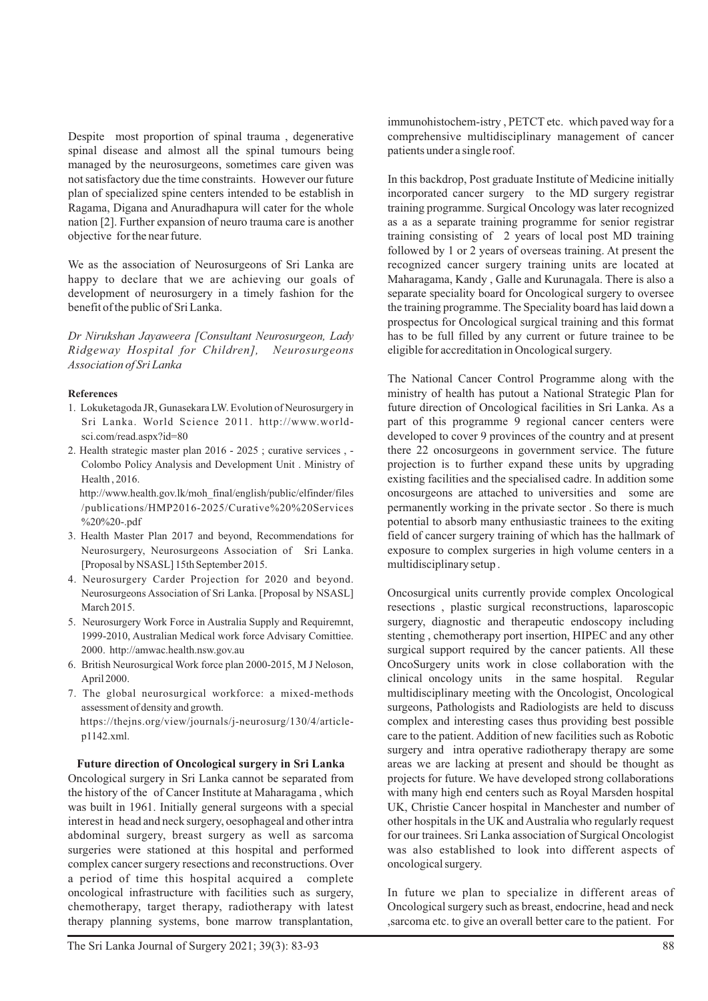Despite most proportion of spinal trauma , degenerative spinal disease and almost all the spinal tumours being managed by the neurosurgeons, sometimes care given was not satisfactory due the time constraints. However our future plan of specialized spine centers intended to be establish in Ragama, Digana and Anuradhapura will cater for the whole nation [2]. Further expansion of neuro trauma care is another objective for the near future.

We as the association of Neurosurgeons of Sri Lanka are happy to declare that we are achieving our goals of development of neurosurgery in a timely fashion for the benefit of the public of Sri Lanka.

*Dr Nirukshan Jayaweera [Consultant Neurosurgeon, Lady Ridgeway Hospital for Children], Neurosurgeons Association of Sri Lanka*

#### **References**

- 1. Lokuketagoda JR, Gunasekara LW. Evolution of Neurosurgery in Sri Lanka. World Science 2011. http://www.worldsci.com/read.aspx?id=80
- 2. Health strategic master plan 2016 2025 ; curative services , Colombo Policy Analysis and Development Unit . Ministry of Health , 2016.

http://www.health.gov.lk/moh\_final/english/public/elfinder/files /publications/HMP2016-2025/Curative%20%20Services %20%20-.pdf

- 3. Health Master Plan 2017 and beyond, Recommendations for Neurosurgery, Neurosurgeons Association of Sri Lanka. [Proposal by NSASL] 15th September 2015.
- 4. Neurosurgery Carder Projection for 2020 and beyond. Neurosurgeons Association of Sri Lanka. [Proposal by NSASL] March 2015.
- 5. Neurosurgery Work Force in Australia Supply and Requiremnt, 1999-2010, Australian Medical work force Advisary Comittiee. 2000. http://amwac.health.nsw.gov.au
- 6. British Neurosurgical Work force plan 2000-2015, M J Neloson, April 2000.
- 7. The global neurosurgical workforce: a mixed-methods assessment of density and growth. https://thejns.org/view/journals/j-neurosurg/130/4/articlep1142.xml.

#### **Future direction of Oncological surgery in Sri Lanka**

Oncological surgery in Sri Lanka cannot be separated from the history of the of Cancer Institute at Maharagama , which was built in 1961. Initially general surgeons with a special interest in head and neck surgery, oesophageal and other intra abdominal surgery, breast surgery as well as sarcoma surgeries were stationed at this hospital and performed complex cancer surgery resections and reconstructions. Over a period of time this hospital acquired a complete oncological infrastructure with facilities such as surgery, chemotherapy, target therapy, radiotherapy with latest therapy planning systems, bone marrow transplantation,

In this backdrop, Post graduate Institute of Medicine initially incorporated cancer surgery to the MD surgery registrar training programme. Surgical Oncology was later recognized as a as a separate training programme for senior registrar training consisting of 2 years of local post MD training followed by 1 or 2 years of overseas training. At present the recognized cancer surgery training units are located at Maharagama, Kandy , Galle and Kurunagala. There is also a separate speciality board for Oncological surgery to oversee the training programme. The Speciality board has laid down a prospectus for Oncological surgical training and this format has to be full filled by any current or future trainee to be eligible for accreditation in Oncological surgery.

The National Cancer Control Programme along with the ministry of health has putout a National Strategic Plan for future direction of Oncological facilities in Sri Lanka. As a part of this programme 9 regional cancer centers were developed to cover 9 provinces of the country and at present there 22 oncosurgeons in government service. The future projection is to further expand these units by upgrading existing facilities and the specialised cadre. In addition some oncosurgeons are attached to universities and some are permanently working in the private sector . So there is much potential to absorb many enthusiastic trainees to the exiting field of cancer surgery training of which has the hallmark of exposure to complex surgeries in high volume centers in a multidisciplinary setup .

Oncosurgical units currently provide complex Oncological resections , plastic surgical reconstructions, laparoscopic surgery, diagnostic and therapeutic endoscopy including stenting , chemotherapy port insertion, HIPEC and any other surgical support required by the cancer patients. All these OncoSurgery units work in close collaboration with the clinical oncology units in the same hospital. Regular multidisciplinary meeting with the Oncologist, Oncological surgeons, Pathologists and Radiologists are held to discuss complex and interesting cases thus providing best possible care to the patient. Addition of new facilities such as Robotic surgery and intra operative radiotherapy therapy are some areas we are lacking at present and should be thought as projects for future. We have developed strong collaborations with many high end centers such as Royal Marsden hospital UK, Christie Cancer hospital in Manchester and number of other hospitals in the UK and Australia who regularly request for our trainees. Sri Lanka association of Surgical Oncologist was also established to look into different aspects of oncological surgery.

In future we plan to specialize in different areas of Oncological surgery such as breast, endocrine, head and neck ,sarcoma etc. to give an overall better care to the patient. For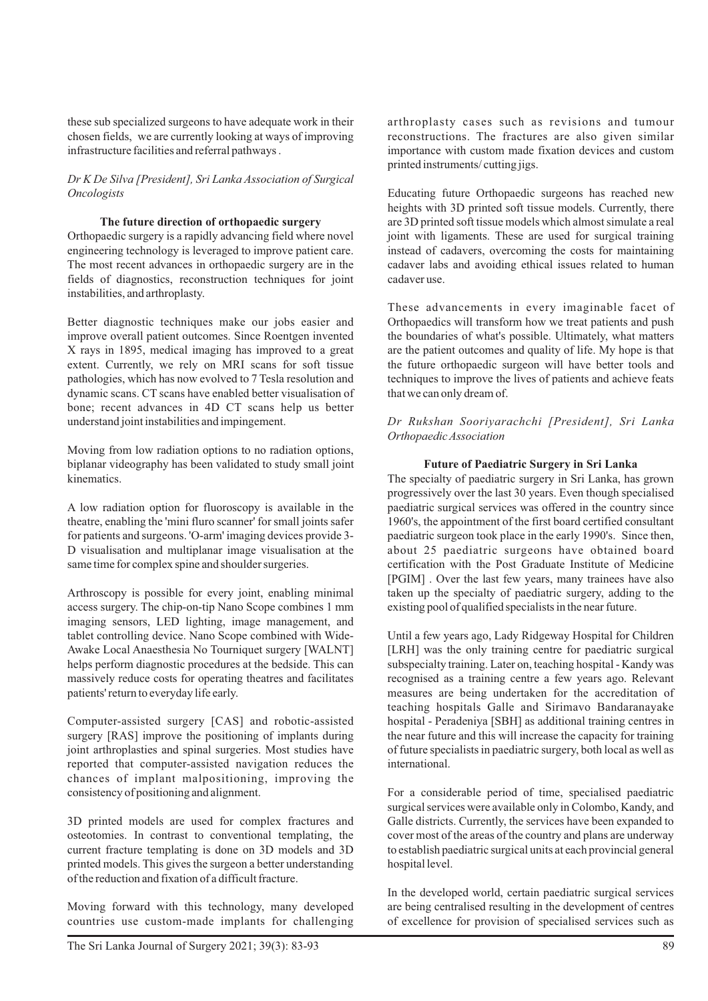these sub specialized surgeons to have adequate work in their chosen fields, we are currently looking at ways of improving infrastructure facilities and referral pathways .

# *Dr K De Silva [President], Sri Lanka Association of Surgical Oncologists*

### **The future direction of orthopaedic surgery**

Orthopaedic surgery is a rapidly advancing field where novel engineering technology is leveraged to improve patient care. The most recent advances in orthopaedic surgery are in the fields of diagnostics, reconstruction techniques for joint instabilities, and arthroplasty.

Better diagnostic techniques make our jobs easier and improve overall patient outcomes. Since Roentgen invented X rays in 1895, medical imaging has improved to a great extent. Currently, we rely on MRI scans for soft tissue pathologies, which has now evolved to 7 Tesla resolution and dynamic scans. CT scans have enabled better visualisation of bone; recent advances in 4D CT scans help us better understand joint instabilities and impingement.

Moving from low radiation options to no radiation options, biplanar videography has been validated to study small joint kinematics.

A low radiation option for fluoroscopy is available in the theatre, enabling the 'mini fluro scanner' for small joints safer for patients and surgeons. 'O-arm' imaging devices provide 3- D visualisation and multiplanar image visualisation at the same time for complex spine and shoulder surgeries.

Arthroscopy is possible for every joint, enabling minimal access surgery. The chip-on-tip Nano Scope combines 1 mm imaging sensors, LED lighting, image management, and tablet controlling device. Nano Scope combined with Wide-Awake Local Anaesthesia No Tourniquet surgery [WALNT] helps perform diagnostic procedures at the bedside. This can massively reduce costs for operating theatres and facilitates patients' return to everyday life early.

Computer-assisted surgery [CAS] and robotic-assisted surgery [RAS] improve the positioning of implants during joint arthroplasties and spinal surgeries. Most studies have reported that computer-assisted navigation reduces the chances of implant malpositioning, improving the consistency of positioning and alignment.

3D printed models are used for complex fractures and osteotomies. In contrast to conventional templating, the current fracture templating is done on 3D models and 3D printed models. This gives the surgeon a better understanding of the reduction and fixation of a difficult fracture.

Moving forward with this technology, many developed countries use custom-made implants for challenging Educating future Orthopaedic surgeons has reached new heights with 3D printed soft tissue models. Currently, there are 3D printed soft tissue models which almost simulate a real joint with ligaments. These are used for surgical training instead of cadavers, overcoming the costs for maintaining cadaver labs and avoiding ethical issues related to human cadaver use.

These advancements in every imaginable facet of Orthopaedics will transform how we treat patients and push the boundaries of what's possible. Ultimately, what matters are the patient outcomes and quality of life. My hope is that the future orthopaedic surgeon will have better tools and techniques to improve the lives of patients and achieve feats that we can only dream of.

# *Dr Rukshan Sooriyarachchi [President], Sri Lanka Orthopaedic Association*

# **Future of Paediatric Surgery in Sri Lanka**

The specialty of paediatric surgery in Sri Lanka, has grown progressively over the last 30 years. Even though specialised paediatric surgical services was offered in the country since 1960's, the appointment of the first board certified consultant paediatric surgeon took place in the early 1990's. Since then, about 25 paediatric surgeons have obtained board certification with the Post Graduate Institute of Medicine [PGIM] . Over the last few years, many trainees have also taken up the specialty of paediatric surgery, adding to the existing pool of qualified specialists in the near future.

Until a few years ago, Lady Ridgeway Hospital for Children [LRH] was the only training centre for paediatric surgical subspecialty training. Later on, teaching hospital - Kandy was recognised as a training centre a few years ago. Relevant measures are being undertaken for the accreditation of teaching hospitals Galle and Sirimavo Bandaranayake hospital - Peradeniya [SBH] as additional training centres in the near future and this will increase the capacity for training of future specialists in paediatric surgery, both local as well as international.

For a considerable period of time, specialised paediatric surgical services were available only in Colombo, Kandy, and Galle districts. Currently, the services have been expanded to cover most of the areas of the country and plans are underway to establish paediatric surgical units at each provincial general hospital level.

In the developed world, certain paediatric surgical services are being centralised resulting in the development of centres of excellence for provision of specialised services such as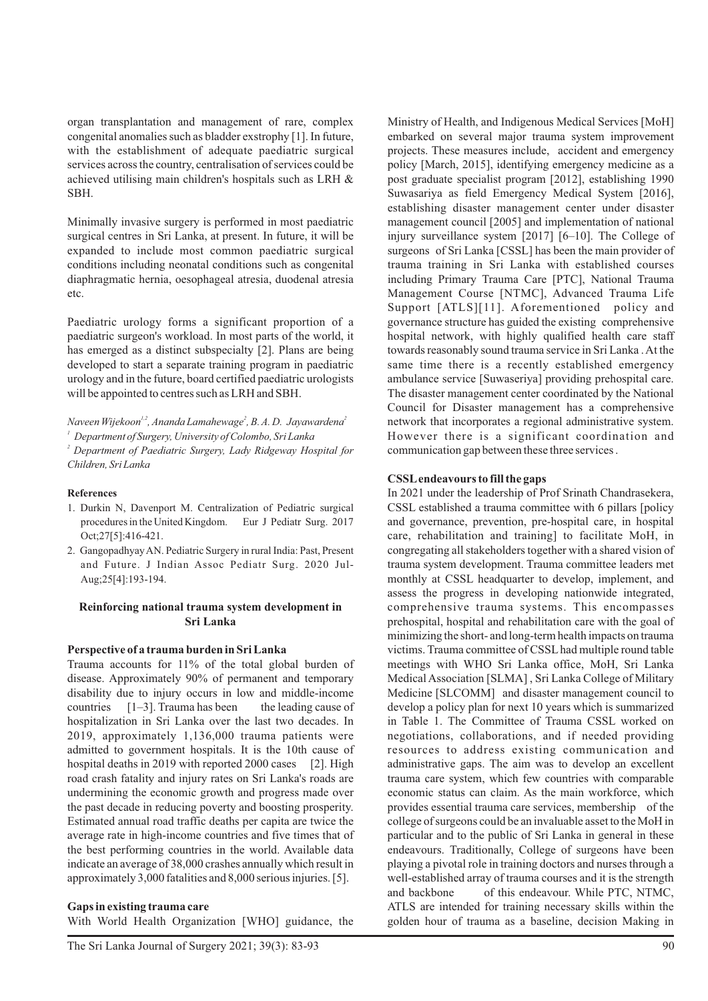organ transplantation and management of rare, complex congenital anomalies such as bladder exstrophy [1]. In future, with the establishment of adequate paediatric surgical services across the country, centralisation of services could be achieved utilising main children's hospitals such as LRH & SBH.

Minimally invasive surgery is performed in most paediatric surgical centres in Sri Lanka, at present. In future, it will be expanded to include most common paediatric surgical conditions including neonatal conditions such as congenital diaphragmatic hernia, oesophageal atresia, duodenal atresia etc.

Paediatric urology forms a significant proportion of a paediatric surgeon's workload. In most parts of the world, it has emerged as a distinct subspecialty [2]. Plans are being developed to start a separate training program in paediatric urology and in the future, board certified paediatric urologists will be appointed to centres such as LRH and SBH.

*1,2 <sup>2</sup> <sup>2</sup> Naveen Wijekoon , Ananda Lamahewage , B. A. D. Jayawardena*

*<sup>1</sup> Department of Surgery, University of Colombo, Sri Lanka*

*<sup>2</sup> Department of Paediatric Surgery, Lady Ridgeway Hospital for Children, Sri Lanka*

#### **References**

- 1. Durkin N, Davenport M. Centralization of Pediatric surgical procedures in the United Kingdom. Eur J Pediatr Surg. 2017 Oct;27[5]:416-421.
- 2. Gangopadhyay AN. Pediatric Surgery in rural India: Past, Present and Future. J Indian Assoc Pediatr Surg. 2020 Jul-Aug;25[4]:193-194.

#### **Reinforcing national trauma system development in Sri Lanka**

#### **Perspective of a trauma burden in Sri Lanka**

Trauma accounts for 11% of the total global burden of disease. Approximately 90% of permanent and temporary disability due to injury occurs in low and middle-income countries  $[1-3]$ . Trauma has been the leading cause of hospitalization in Sri Lanka over the last two decades. In 2019, approximately 1,136,000 trauma patients were admitted to government hospitals. It is the 10th cause of hospital deaths in 2019 with reported 2000 cases [2]. High road crash fatality and injury rates on Sri Lanka's roads are undermining the economic growth and progress made over the past decade in reducing poverty and boosting prosperity. Estimated annual road traffic deaths per capita are twice the average rate in high-income countries and five times that of the best performing countries in the world. Available data indicate an average of 38,000 crashes annually which result in approximately 3,000 fatalities and 8,000 serious injuries. [5].

**Gaps in existing trauma care** With World Health Organization [WHO] guidance, the Ministry of Health, and Indigenous Medical Services [MoH] embarked on several major trauma system improvement projects. These measures include, accident and emergency policy [March, 2015], identifying emergency medicine as a post graduate specialist program [2012], establishing 1990 Suwasariya as field Emergency Medical System [2016], establishing disaster management center under disaster management council [2005] and implementation of national injury surveillance system [2017] [6–10]. The College of surgeons of Sri Lanka [CSSL] has been the main provider of trauma training in Sri Lanka with established courses including Primary Trauma Care [PTC], National Trauma Management Course [NTMC], Advanced Trauma Life Support [ATLS][11]. Aforementioned policy and governance structure has guided the existing comprehensive hospital network, with highly qualified health care staff towards reasonably sound trauma service in Sri Lanka . At the same time there is a recently established emergency ambulance service [Suwaseriya] providing prehospital care. The disaster management center coordinated by the National Council for Disaster management has a comprehensive network that incorporates a regional administrative system. However there is a significant coordination and communication gap between these three services .

#### **CSSLendeavours to fill the gaps**

In 2021 under the leadership of Prof Srinath Chandrasekera, CSSL established a trauma committee with 6 pillars [policy and governance, prevention, pre-hospital care, in hospital care, rehabilitation and training] to facilitate MoH, in congregating all stakeholders together with a shared vision of trauma system development. Trauma committee leaders met monthly at CSSL headquarter to develop, implement, and assess the progress in developing nationwide integrated, comprehensive trauma systems. This encompasses prehospital, hospital and rehabilitation care with the goal of minimizing the short- and long-term health impacts on trauma victims. Trauma committee of CSSLhad multiple round table meetings with WHO Sri Lanka office, MoH, Sri Lanka Medical Association [SLMA] , Sri Lanka College of Military Medicine [SLCOMM] and disaster management council to develop a policy plan for next 10 years which is summarized in Table 1. The Committee of Trauma CSSL worked on negotiations, collaborations, and if needed providing resources to address existing communication and administrative gaps. The aim was to develop an excellent trauma care system, which few countries with comparable economic status can claim. As the main workforce, which provides essential trauma care services, membership of the college of surgeons could be an invaluable asset to the MoH in particular and to the public of Sri Lanka in general in these endeavours. Traditionally, College of surgeons have been playing a pivotal role in training doctors and nurses through a well-established array of trauma courses and it is the strength and backbone of this endeavour. While PTC, NTMC, ATLS are intended for training necessary skills within the golden hour of trauma as a baseline, decision Making in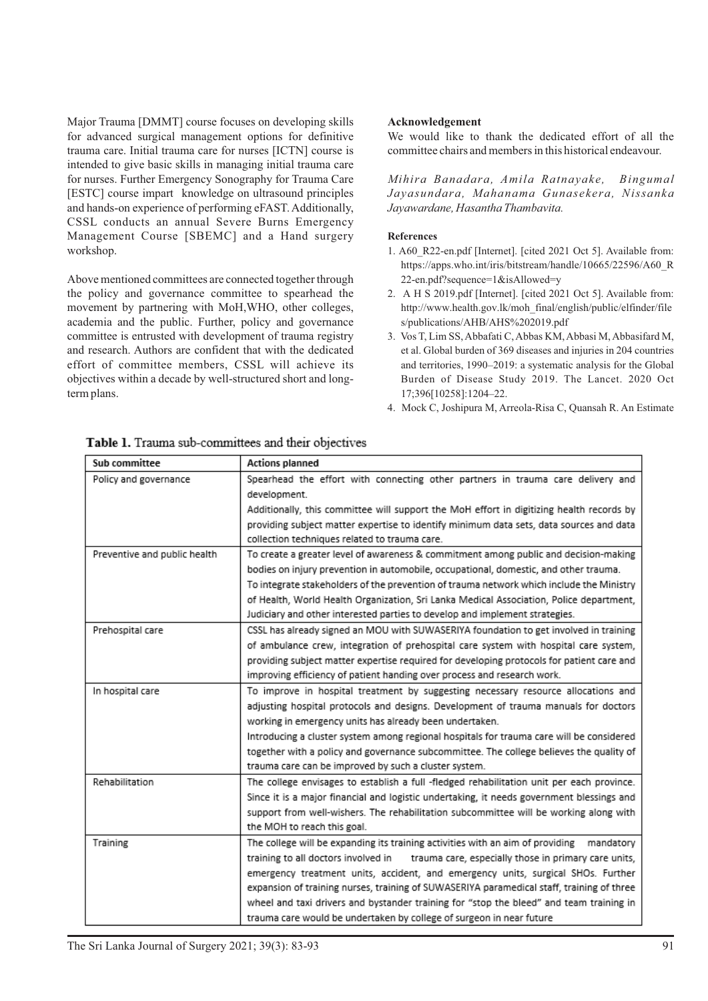Major Trauma [DMMT] course focuses on developing skills for advanced surgical management options for definitive trauma care. Initial trauma care for nurses [ICTN] course is intended to give basic skills in managing initial trauma care for nurses. Further Emergency Sonography for Trauma Care [ESTC] course impart knowledge on ultrasound principles and hands-on experience of performing eFAST. Additionally, CSSL conducts an annual Severe Burns Emergency Management Course [SBEMC] and a Hand surgery workshop.

Above mentioned committees are connected together through the policy and governance committee to spearhead the movement by partnering with MoH,WHO, other colleges, academia and the public. Further, policy and governance committee is entrusted with development of trauma registry and research. Authors are confident that with the dedicated effort of committee members, CSSL will achieve its objectives within a decade by well-structured short and longterm plans.

# **Acknowledgement**

We would like to thank the dedicated effort of all the committee chairs and members in this historical endeavour.

*Mihira Banadara, Amila Ratnayake, Bingumal Jayasundara, Mahanama Gunasekera, Nissanka Jayawardane, Hasantha Thambavita.*

#### **References**

- 1. A60\_R22-en.pdf [Internet]. [cited 2021 Oct 5]. Available from: https://apps.who.int/iris/bitstream/handle/10665/22596/A60\_R 22-en.pdf?sequence=1&isAllowed=y
- 2. A H S 2019.pdf [Internet]. [cited 2021 Oct 5]. Available from: http://www.health.gov.lk/moh\_final/english/public/elfinder/file s/publications/AHB/AHS%202019.pdf
- 3. Vos T, Lim SS, Abbafati C, Abbas KM, Abbasi M, Abbasifard M, et al. Global burden of 369 diseases and injuries in 204 countries and territories, 1990–2019: a systematic analysis for the Global Burden of Disease Study 2019. The Lancet. 2020 Oct 17;396[10258]:1204–22.
- 4. Mock C, Joshipura M, Arreola-Risa C, Quansah R. An Estimate

| Sub committee                | Actions planned                                                                             |
|------------------------------|---------------------------------------------------------------------------------------------|
| Policy and governance        | Spearhead the effort with connecting other partners in trauma care delivery and             |
|                              | development.                                                                                |
|                              | Additionally, this committee will support the MoH effort in digitizing health records by    |
|                              | providing subject matter expertise to identify minimum data sets, data sources and data     |
|                              | collection techniques related to trauma care.                                               |
| Preventive and public health | To create a greater level of awareness & commitment among public and decision-making        |
|                              | bodies on injury prevention in automobile, occupational, domestic, and other trauma.        |
|                              | To integrate stakeholders of the prevention of trauma network which include the Ministry    |
|                              | of Health, World Health Organization, Sri Lanka Medical Association, Police department,     |
|                              | Judiciary and other interested parties to develop and implement strategies.                 |
| Prehospital care             | CSSL has already signed an MOU with SUWASERIYA foundation to get involved in training       |
|                              | of ambulance crew, integration of prehospital care system with hospital care system,        |
|                              | providing subject matter expertise required for developing protocols for patient care and   |
|                              | improving efficiency of patient handing over process and research work.                     |
| In hospital care             | To improve in hospital treatment by suggesting necessary resource allocations and           |
|                              | adjusting hospital protocols and designs. Development of trauma manuals for doctors         |
|                              | working in emergency units has already been undertaken.                                     |
|                              | Introducing a cluster system among regional hospitals for trauma care will be considered    |
|                              | together with a policy and governance subcommittee. The college believes the quality of     |
|                              | trauma care can be improved by such a cluster system.                                       |
| Rehabilitation               | The college envisages to establish a full -fledged rehabilitation unit per each province.   |
|                              | Since it is a major financial and logistic undertaking, it needs government blessings and   |
|                              | support from well-wishers. The rehabilitation subcommittee will be working along with       |
|                              | the MOH to reach this goal.                                                                 |
| Training                     | The college will be expanding its training activities with an aim of providing<br>mandatory |
|                              | training to all doctors involved in<br>trauma care, especially those in primary care units, |
|                              | emergency treatment units, accident, and emergency units, surgical SHOs. Further            |
|                              | expansion of training nurses, training of SUWASERIYA paramedical staff, training of three   |
|                              | wheel and taxi drivers and bystander training for "stop the bleed" and team training in     |
|                              | trauma care would be undertaken by college of surgeon in near future                        |

Table 1. Trauma sub-committees and their objectives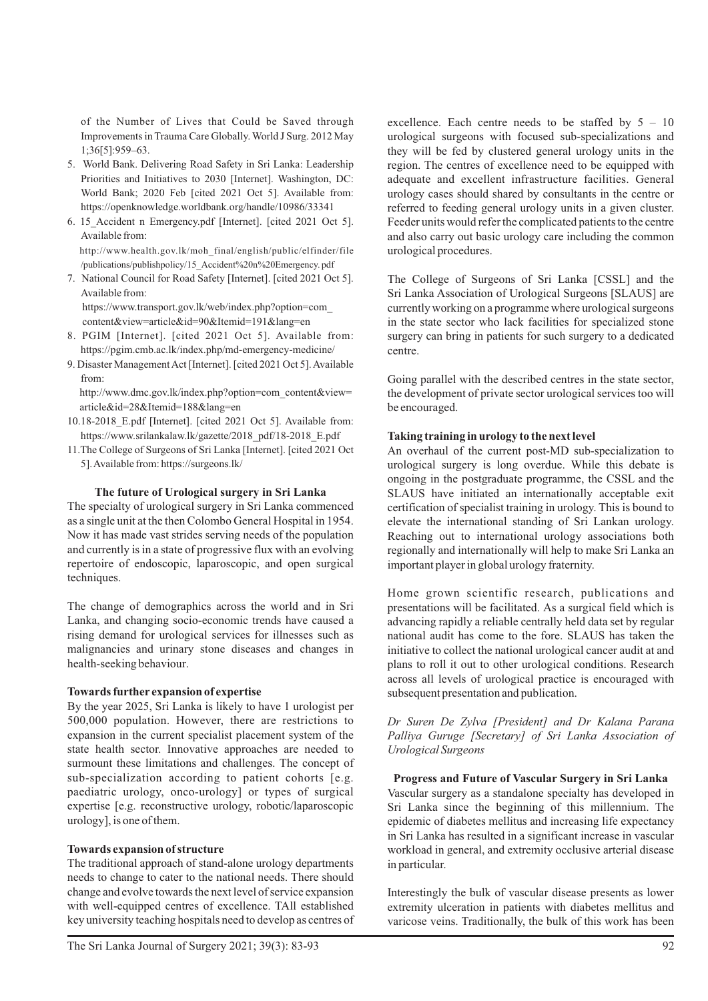of the Number of Lives that Could be Saved through Improvements in Trauma Care Globally. World J Surg. 2012 May 1;36[5]:959–63.

- 5. World Bank. Delivering Road Safety in Sri Lanka: Leadership Priorities and Initiatives to 2030 [Internet]. Washington, DC: World Bank; 2020 Feb [cited 2021 Oct 5]. Available from: https://openknowledge.worldbank.org/handle/10986/33341
- 6. 15\_Accident n Emergency.pdf [Internet]. [cited 2021 Oct 5]. Available from: http://www.health.gov.lk/moh\_final/english/public/elfinder/file

/publications/publishpolicy/15\_Accident%20n%20Emergency. pdf

7. National Council for Road Safety [Internet]. [cited 2021 Oct 5]. Available from: https://www.transport.gov.lk/web/index.php?option=com\_

content&view=article&id=90&Itemid=191&lang=en

- 8. PGIM [Internet]. [cited 2021 Oct 5]. Available from: https://pgim.cmb.ac.lk/index.php/md-emergency-medicine/
- 9. Disaster Management Act [Internet]. [cited 2021 Oct 5]. Available from:

 http://www.dmc.gov.lk/index.php?option=com\_content&view= article&id=28&Itemid=188&lang=en

- 10.18-2018\_E.pdf [Internet]. [cited 2021 Oct 5]. Available from: https://www.srilankalaw.lk/gazette/2018\_pdf/18-2018\_E.pdf
- 11.The College of Surgeons of Sri Lanka [Internet]. [cited 2021 Oct 5]. Available from: https://surgeons.lk/

# **The future of Urological surgery in Sri Lanka**

The specialty of urological surgery in Sri Lanka commenced as a single unit at the then Colombo General Hospital in 1954. Now it has made vast strides serving needs of the population and currently is in a state of progressive flux with an evolving repertoire of endoscopic, laparoscopic, and open surgical techniques.

The change of demographics across the world and in Sri Lanka, and changing socio-economic trends have caused a rising demand for urological services for illnesses such as malignancies and urinary stone diseases and changes in health-seeking behaviour.

#### **Towards further expansion of expertise**

By the year 2025, Sri Lanka is likely to have 1 urologist per 500,000 population. However, there are restrictions to expansion in the current specialist placement system of the state health sector. Innovative approaches are needed to surmount these limitations and challenges. The concept of sub-specialization according to patient cohorts [e.g. paediatric urology, onco-urology] or types of surgical expertise [e.g. reconstructive urology, robotic/laparoscopic urology], is one of them.

# **Towards expansion of structure**

The traditional approach of stand-alone urology departments needs to change to cater to the national needs. There should change and evolve towards the next level of service expansion with well-equipped centres of excellence. TAll established key university teaching hospitals need to develop as centres of excellence. Each centre needs to be staffed by 5 – 10 urological surgeons with focused sub-specializations and they will be fed by clustered general urology units in the region. The centres of excellence need to be equipped with adequate and excellent infrastructure facilities. General urology cases should shared by consultants in the centre or referred to feeding general urology units in a given cluster. Feeder units would refer the complicated patients to the centre and also carry out basic urology care including the common urological procedures.

The College of Surgeons of Sri Lanka [CSSL] and the Sri Lanka Association of Urological Surgeons [SLAUS] are currently working on a programme where urological surgeons in the state sector who lack facilities for specialized stone surgery can bring in patients for such surgery to a dedicated centre.

Going parallel with the described centres in the state sector, the development of private sector urological services too will be encouraged.

# **Taking training in urology to the next level**

An overhaul of the current post-MD sub-specialization to urological surgery is long overdue. While this debate is ongoing in the postgraduate programme, the CSSL and the SLAUS have initiated an internationally acceptable exit certification of specialist training in urology. This is bound to elevate the international standing of Sri Lankan urology. Reaching out to international urology associations both regionally and internationally will help to make Sri Lanka an important player in global urology fraternity.

Home grown scientific research, publications and presentations will be facilitated. As a surgical field which is advancing rapidly a reliable centrally held data set by regular national audit has come to the fore. SLAUS has taken the initiative to collect the national urological cancer audit at and plans to roll it out to other urological conditions. Research across all levels of urological practice is encouraged with subsequent presentation and publication.

*Dr Suren De Zylva [President] and Dr Kalana Parana Palliya Guruge [Secretary] of Sri Lanka Association of Urological Surgeons*

**Progress and Future of Vascular Surgery in Sri Lanka** Vascular surgery as a standalone specialty has developed in Sri Lanka since the beginning of this millennium. The epidemic of diabetes mellitus and increasing life expectancy in Sri Lanka has resulted in a significant increase in vascular workload in general, and extremity occlusive arterial disease in particular.

Interestingly the bulk of vascular disease presents as lower extremity ulceration in patients with diabetes mellitus and varicose veins. Traditionally, the bulk of this work has been